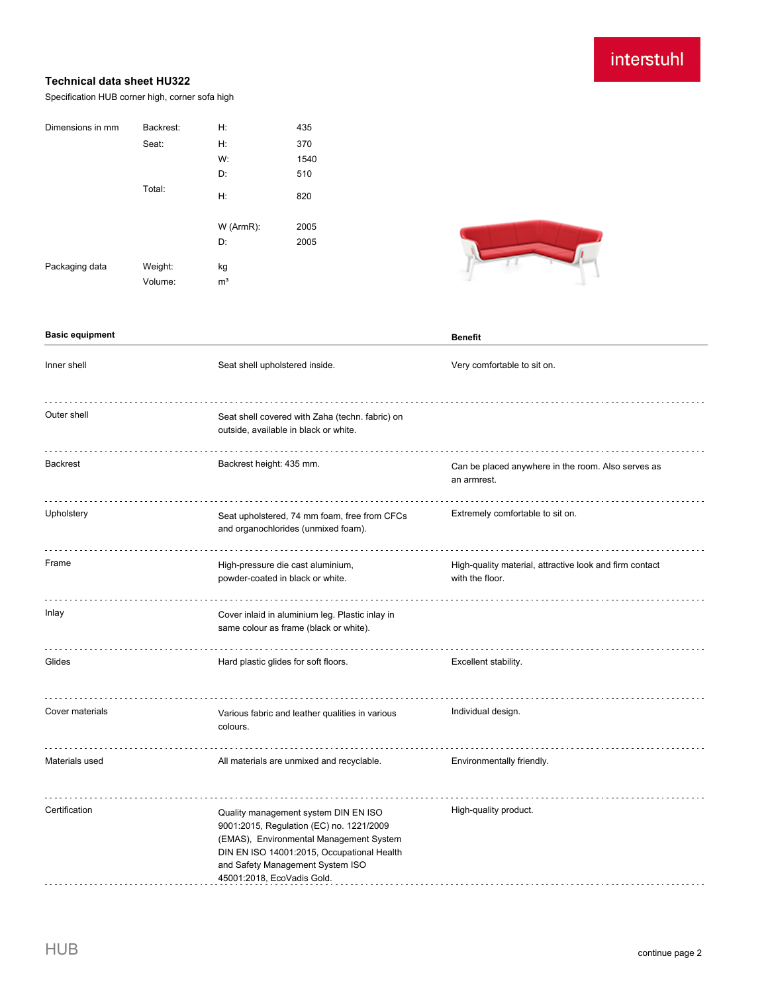# interstuhl

#### **Technical data sheet HU322**

Specification HUB corner high, corner sofa high

| Dimensions in mm | Backrest:          | H:                   | 435  |
|------------------|--------------------|----------------------|------|
|                  | Seat:              | Н:                   | 370  |
|                  |                    | W:                   | 1540 |
|                  |                    | D:                   | 510  |
|                  | Total:             | H:                   | 820  |
|                  |                    | W (ArmR):            | 2005 |
|                  |                    | D:                   | 2005 |
| Packaging data   | Weight:<br>Volume: | kg<br>m <sup>3</sup> |      |
|                  |                    |                      |      |



| <b>Basic equipment</b> |                                                                                                                                                                                                                                             | <b>Benefit</b>                                                             |
|------------------------|---------------------------------------------------------------------------------------------------------------------------------------------------------------------------------------------------------------------------------------------|----------------------------------------------------------------------------|
| Inner shell            | Seat shell upholstered inside.                                                                                                                                                                                                              | Very comfortable to sit on.                                                |
| Outer shell            | Seat shell covered with Zaha (techn. fabric) on<br>outside, available in black or white.                                                                                                                                                    |                                                                            |
| <b>Backrest</b>        | Backrest height: 435 mm.                                                                                                                                                                                                                    | Can be placed anywhere in the room. Also serves as<br>an armrest.          |
| Upholstery             | Seat upholstered, 74 mm foam, free from CFCs<br>and organochlorides (unmixed foam).                                                                                                                                                         | Extremely comfortable to sit on.                                           |
| Frame                  | High-pressure die cast aluminium,<br>powder-coated in black or white.                                                                                                                                                                       | High-quality material, attractive look and firm contact<br>with the floor. |
| Inlay                  | Cover inlaid in aluminium leg. Plastic inlay in<br>same colour as frame (black or white).                                                                                                                                                   |                                                                            |
| Glides                 | Hard plastic glides for soft floors.                                                                                                                                                                                                        | Excellent stability.                                                       |
| Cover materials        | Various fabric and leather qualities in various<br>colours.                                                                                                                                                                                 | Individual design.                                                         |
| Materials used         | All materials are unmixed and recyclable.                                                                                                                                                                                                   | Environmentally friendly.                                                  |
| Certification          | Quality management system DIN EN ISO<br>9001:2015, Regulation (EC) no. 1221/2009<br>(EMAS), Environmental Management System<br>DIN EN ISO 14001:2015, Occupational Health<br>and Safety Management System ISO<br>45001:2018, EcoVadis Gold. | High-quality product.                                                      |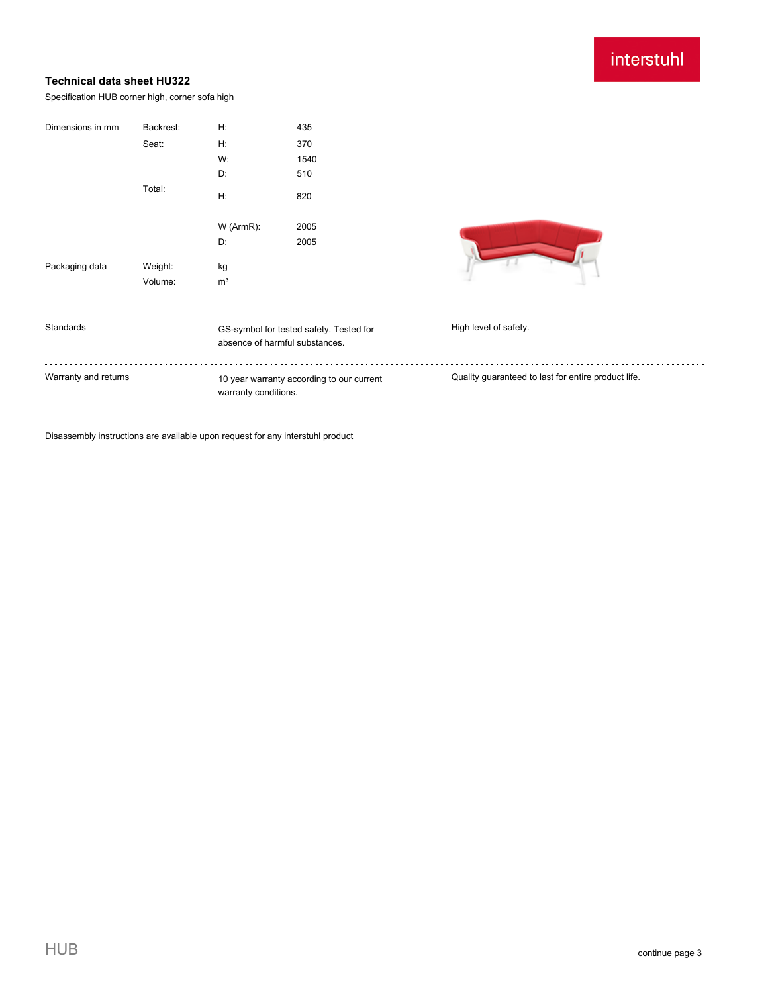## interstuhl

### **Technical data sheet HU322**

Specification HUB corner high, corner sofa high

| Dimensions in mm     | Backrest: | H:                   | 435                                       |                                                     |
|----------------------|-----------|----------------------|-------------------------------------------|-----------------------------------------------------|
|                      | Seat:     | Н:                   | 370                                       |                                                     |
|                      |           | W:                   | 1540                                      |                                                     |
|                      |           | D:                   | 510                                       |                                                     |
|                      | Total:    | H:                   | 820                                       |                                                     |
|                      |           | W (ArmR):            | 2005                                      |                                                     |
|                      |           | D:                   | 2005                                      |                                                     |
| Packaging data       | Weight:   | kg                   |                                           |                                                     |
|                      | Volume:   | m <sup>3</sup>       |                                           |                                                     |
|                      |           |                      |                                           |                                                     |
| Standards            |           |                      | GS-symbol for tested safety. Tested for   | High level of safety.                               |
|                      |           |                      | absence of harmful substances.            |                                                     |
| Warranty and returns |           |                      | 10 year warranty according to our current | Quality guaranteed to last for entire product life. |
|                      |           | warranty conditions. |                                           |                                                     |
|                      |           |                      |                                           |                                                     |
|                      | .         |                      |                                           |                                                     |

Disassembly instructions are available upon request for any interstuhl product